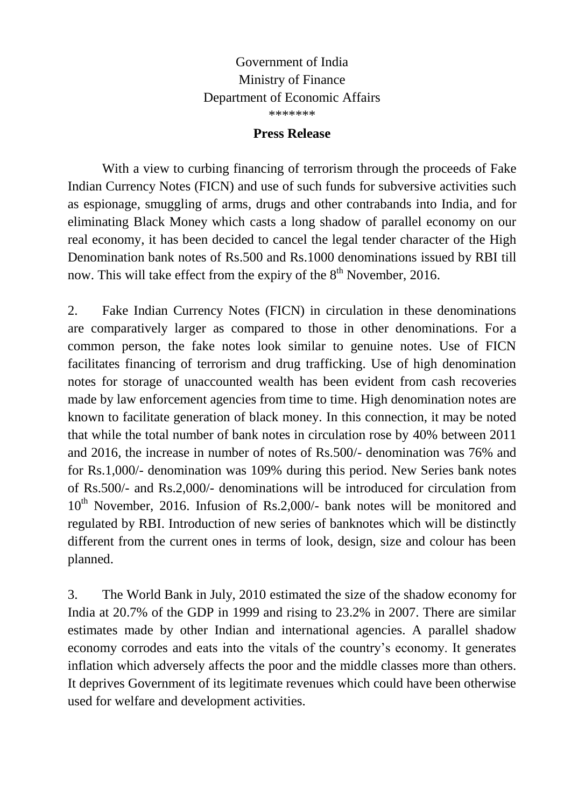## Government of India Ministry of Finance Department of Economic Affairs \*\*\*\*\*\*\*

## **Press Release**

With a view to curbing financing of terrorism through the proceeds of Fake Indian Currency Notes (FICN) and use of such funds for subversive activities such as espionage, smuggling of arms, drugs and other contrabands into India, and for eliminating Black Money which casts a long shadow of parallel economy on our real economy, it has been decided to cancel the legal tender character of the High Denomination bank notes of Rs.500 and Rs.1000 denominations issued by RBI till now. This will take effect from the expiry of the  $8<sup>th</sup>$  November, 2016.

2. Fake Indian Currency Notes (FICN) in circulation in these denominations are comparatively larger as compared to those in other denominations. For a common person, the fake notes look similar to genuine notes. Use of FICN facilitates financing of terrorism and drug trafficking. Use of high denomination notes for storage of unaccounted wealth has been evident from cash recoveries made by law enforcement agencies from time to time. High denomination notes are known to facilitate generation of black money. In this connection, it may be noted that while the total number of bank notes in circulation rose by 40% between 2011 and 2016, the increase in number of notes of Rs.500/- denomination was 76% and for Rs.1,000/- denomination was 109% during this period. New Series bank notes of Rs.500/- and Rs.2,000/- denominations will be introduced for circulation from  $10^{th}$  November, 2016. Infusion of Rs.2,000/- bank notes will be monitored and regulated by RBI. Introduction of new series of banknotes which will be distinctly different from the current ones in terms of look, design, size and colour has been planned.

3. The World Bank in July, 2010 estimated the size of the shadow economy for India at 20.7% of the GDP in 1999 and rising to 23.2% in 2007. There are similar estimates made by other Indian and international agencies. A parallel shadow economy corrodes and eats into the vitals of the country's economy. It generates inflation which adversely affects the poor and the middle classes more than others. It deprives Government of its legitimate revenues which could have been otherwise used for welfare and development activities.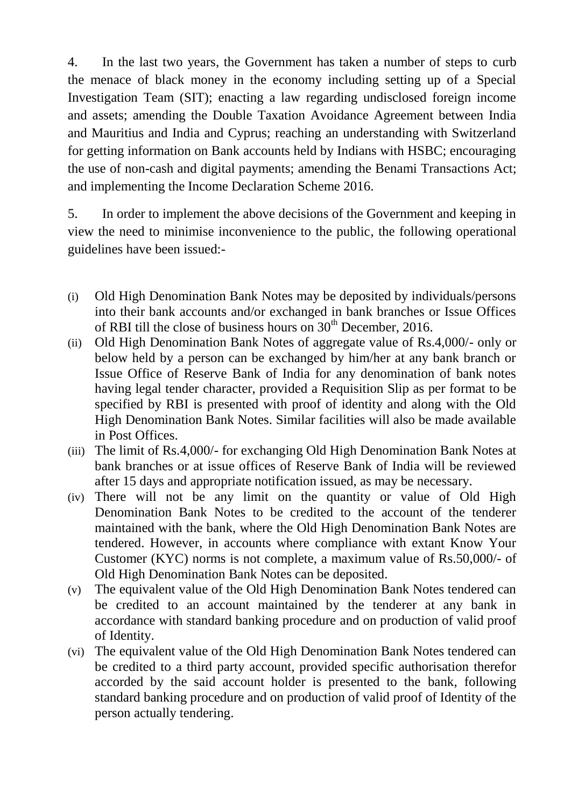4. In the last two years, the Government has taken a number of steps to curb the menace of black money in the economy including setting up of a Special Investigation Team (SIT); enacting a law regarding undisclosed foreign income and assets; amending the Double Taxation Avoidance Agreement between India and Mauritius and India and Cyprus; reaching an understanding with Switzerland for getting information on Bank accounts held by Indians with HSBC; encouraging the use of non-cash and digital payments; amending the Benami Transactions Act; and implementing the Income Declaration Scheme 2016.

5. In order to implement the above decisions of the Government and keeping in view the need to minimise inconvenience to the public, the following operational guidelines have been issued:-

- (i) Old High Denomination Bank Notes may be deposited by individuals/persons into their bank accounts and/or exchanged in bank branches or Issue Offices of RBI till the close of business hours on  $30<sup>th</sup>$  December, 2016.
- (ii) Old High Denomination Bank Notes of aggregate value of Rs.4,000/- only or below held by a person can be exchanged by him/her at any bank branch or Issue Office of Reserve Bank of India for any denomination of bank notes having legal tender character, provided a Requisition Slip as per format to be specified by RBI is presented with proof of identity and along with the Old High Denomination Bank Notes. Similar facilities will also be made available in Post Offices.
- (iii) The limit of Rs.4,000/- for exchanging Old High Denomination Bank Notes at bank branches or at issue offices of Reserve Bank of India will be reviewed after 15 days and appropriate notification issued, as may be necessary.
- (iv) There will not be any limit on the quantity or value of Old High Denomination Bank Notes to be credited to the account of the tenderer maintained with the bank, where the Old High Denomination Bank Notes are tendered. However, in accounts where compliance with extant Know Your Customer (KYC) norms is not complete, a maximum value of Rs.50,000/- of Old High Denomination Bank Notes can be deposited.
- (v) The equivalent value of the Old High Denomination Bank Notes tendered can be credited to an account maintained by the tenderer at any bank in accordance with standard banking procedure and on production of valid proof of Identity.
- (vi) The equivalent value of the Old High Denomination Bank Notes tendered can be credited to a third party account, provided specific authorisation therefor accorded by the said account holder is presented to the bank, following standard banking procedure and on production of valid proof of Identity of the person actually tendering.